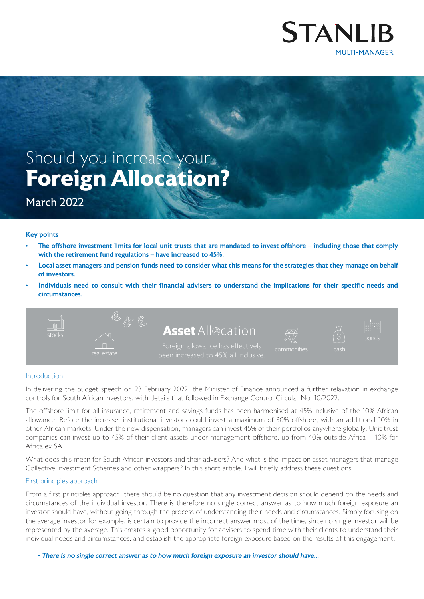

# **Foreign Allocation?** Should you increase your

# March 2022

### Key points

- The offshore investment limits for local unit trusts that are mandated to invest offshore including those that comply with the retirement fund regulations – have increased to 45%.
- Local asset managers and pension funds need to consider what this means for the strategies that they manage on behalf of investors.
- Individuals need to consult with their financial advisers to understand the implications for their specific needs and circumstances.



#### Introduction

In delivering the budget speech on 23 February 2022, the Minister of Finance announced a further relaxation in exchange controls for South African investors, with details that followed in Exchange Control Circular No. 10/2022.

The offshore limit for all insurance, retirement and savings funds has been harmonised at 45% inclusive of the 10% African allowance. Before the increase, institutional investors could invest a maximum of 30% offshore, with an additional 10% in other African markets. Under the new dispensation, managers can invest 45% of their portfolios anywhere globally. Unit trust companies can invest up to 45% of their client assets under management offshore, up from 40% outside Africa + 10% for Africa ex-SA.

What does this mean for South African investors and their advisers? And what is the impact on asset managers that manage Collective Investment Schemes and other wrappers? In this short article, I will briefly address these questions.

#### First principles approach

From a first principles approach, there should be no question that any investment decision should depend on the needs and circumstances of the individual investor. There is therefore no single correct answer as to how much foreign exposure an investor should have, without going through the process of understanding their needs and circumstances. Simply focusing on the average investor for example, is certain to provide the incorrect answer most of the time, since no single investor will be represented by the average. This creates a good opportunity for advisers to spend time with their clients to understand their individual needs and circumstances, and establish the appropriate foreign exposure based on the results of this engagement.

- There is no single correct answer as to how much foreign exposure an investor should have...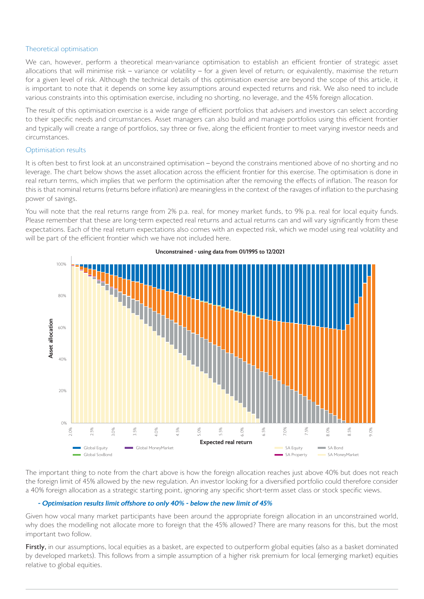### Theoretical optimisation

We can, however, perform a theoretical mean-variance optimisation to establish an efficient frontier of strategic asset allocations that will minimise risk – variance or volatility – for a given level of return; or equivalently, maximise the return for a given level of risk. Although the technical details of this optimisation exercise are beyond the scope of this article, it is important to note that it depends on some key assumptions around expected returns and risk. We also need to include various constraints into this optimisation exercise, including no shorting, no leverage, and the 45% foreign allocation.

The result of this optimisation exercise is a wide range of efficient portfolios that advisers and investors can select according to their specific needs and circumstances. Asset managers can also build and manage portfolios using this efficient frontier and typically will create a range of portfolios, say three or five, along the efficient frontier to meet varying investor needs and circumstances.

## Optimisation results

It is often best to first look at an unconstrained optimisation – beyond the constrains mentioned above of no shorting and no leverage. The chart below shows the asset allocation across the efficient frontier for this exercise. The optimisation is done in real return terms, which implies that we perform the optimisation after the removing the effects of inflation. The reason for this is that nominal returns (returns before inflation) are meaningless in the context of the ravages of inflation to the purchasing power of savings.

You will note that the real returns range from 2% p.a. real, for money market funds, to 9% p.a. real for local equity funds. Please remember that these are long-term expected real returns and actual returns can and will vary significantly from these expectations. Each of the real return expectations also comes with an expected risk, which we model using real volatility and will be part of the efficient frontier which we have not included here.



Unconstrained - using data from 01/1995 to 12/2021

The important thing to note from the chart above is how the foreign allocation reaches just above 40% but does not reach the foreign limit of 45% allowed by the new regulation. An investor looking for a diversified portfolio could therefore consider a 40% foreign allocation as a strategic starting point, ignoring any specific short-term asset class or stock specific views.

### - Optimisation results limit offshore to only 40% - below the new limit of 45%

Given how vocal many market participants have been around the appropriate foreign allocation in an unconstrained world, why does the modelling not allocate more to foreign that the 45% allowed? There are many reasons for this, but the most important two follow.

Firstly, in our assumptions, local equities as a basket, are expected to outperform global equities (also as a basket dominated by developed markets). This follows from a simple assumption of a higher risk premium for local (emerging market) equities